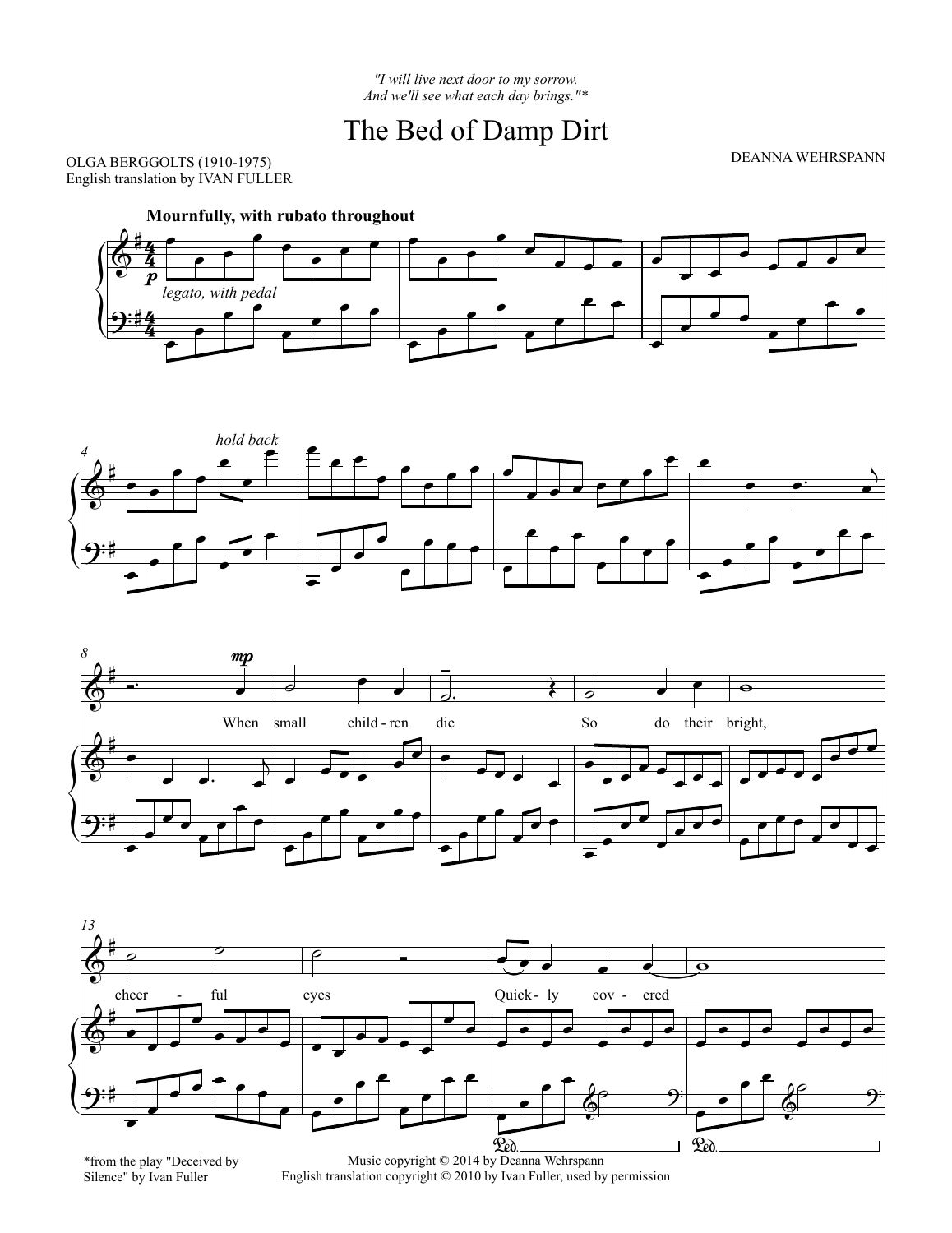## The Bed of Damp Dirt

DEANNA WEHRSPANN

OLGA BERGGOLTS (1910-1975) English translation by IVAN FULLER









\*from the play "Deceived by Silence" by Ivan Fuller

English translation copyright © 2010 by Ivan Fuller, used by permission